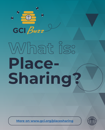

# **What is: Place-Sharing?**

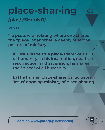### place-shar·ing **/plās/ /SHeriNG/**

#### *Verb*

**1. a posture of relating where one shares the "place" of another; a deeply relational posture of ministry**

**a) Jesus is the true place-sharer of all of humanity; in his incarnation, death, resurrection, and ascension, he shares the "place" of all humanity**

**b) The human place-sharer participates in Jesus' ongoing ministry of place-sharing** 

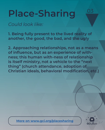#### *Could look like:*

**1. Being fully present to the lived reality of another, the good, the bad, and the ugly**

**2. Approaching relationships, not as a means of influence, but as an experience of withness; this human with-ness of relationship is itself ministry, not a vehicle to the "next thing" (church attendance, adoption of Christian ideals, behavioral modification, etc.)** 

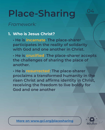*Framework:*

#### **1. Who is Jesus Christ?**

**• He is incarnate: The place-sharer participates in the reality of solidarity with God and one another in Christ.** 

**• He is crucified: The place-sharer accepts the challenges of sharing the place of another.** 

**• He is resurrected: The place-sharer proclaims a transformed humanity in the risen Christ and affirms identity in Christ, receiving the freedom to live boldly for God and one another**

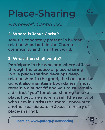*Framework Continued:*

#### **2. Where is Jesus Christ?**

**Jesus is concretely present in human relationships both in the Church community and in all the world.**

#### **3. What then shall we do?**

**Participate in the who and where of Jesus through the practice of place-sharing While place-sharing develops deep relationships in the good, the bad, and the ugly, it also maintains boundaries. I must remain a distinct "I" and you must remain a distinct "you" for place-sharing to take place. I become more myself (the reality of who I am in Christ) the more I encounter another (participate in Jesus' ministry of place-sharing).** 

**[More on w](https://www.gci.org/placesharing/)ww.gci.org/placesharing**



05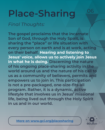*Final Thoughts:*

**The gospel proclaims that the incarnate Son of God, through the Holy Spirit, is sharing the "place" or life situation with every person on earth and is at work, acting on their behalf. Hearing and listening to Jesus' voice, allows us to actively join Jesus in what he is doing. Discerning the nature of his ongoing place-sharing activity in the world around us and the nature of his call to us as a community of believers, permits and empowers us to join in. This participation is not a pre-packaged, one-size-fits-all program. Rather, it is a dynamic, active lifestyle that involves us in Jesus' missional life, being lived out through the Holy Spirit in us and in our world.**

**[More on w](https://www.gci.org/placesharing/)ww.gci.org/placesharing**

**GCI** Buzz

06